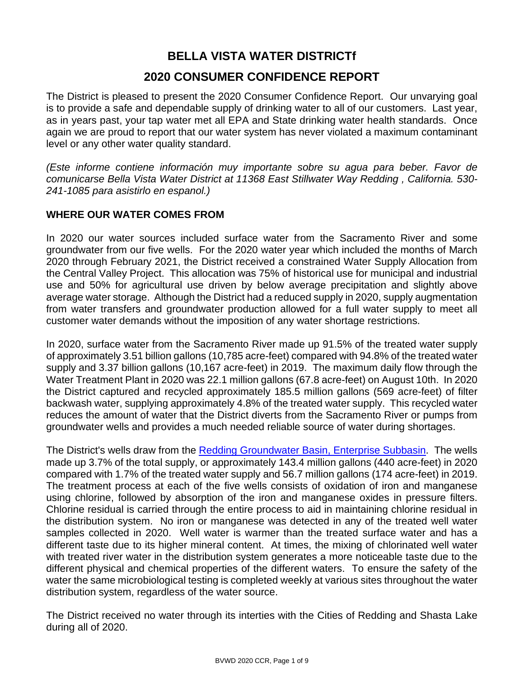## **BELLA VISTA WATER DISTRICTf 2020 CONSUMER CONFIDENCE REPORT**

The District is pleased to present the 2020 Consumer Confidence Report. Our unvarying goal is to provide a safe and dependable supply of drinking water to all of our customers. Last year, as in years past, your tap water met all EPA and State drinking water health standards. Once again we are proud to report that our water system has never violated a maximum contaminant level or any other water quality standard.

*(Este informe contiene información muy importante sobre su agua para beber. Favor de comunicarse Bella Vista Water District at 11368 East Stillwater Way Redding , California. 530- 241-1085 para asistirlo en espanol.)*

### **WHERE OUR WATER COMES FROM**

In 2020 our water sources included surface water from the Sacramento River and some groundwater from our five wells. For the 2020 water year which included the months of March 2020 through February 2021, the District received a constrained Water Supply Allocation from the Central Valley Project. This allocation was 75% of historical use for municipal and industrial use and 50% for agricultural use driven by below average precipitation and slightly above average water storage. Although the District had a reduced supply in 2020, supply augmentation from water transfers and groundwater production allowed for a full water supply to meet all customer water demands without the imposition of any water shortage restrictions.

In 2020, surface water from the Sacramento River made up 91.5% of the treated water supply of approximately 3.51 billion gallons (10,785 acre-feet) compared with 94.8% of the treated water supply and 3.37 billion gallons (10,167 acre-feet) in 2019. The maximum daily flow through the Water Treatment Plant in 2020 was 22.1 million gallons (67.8 acre-feet) on August 10th. In 2020 the District captured and recycled approximately 185.5 million gallons (569 acre-feet) of filter backwash water, supplying approximately 4.8% of the treated water supply. This recycled water reduces the amount of water that the District diverts from the Sacramento River or pumps from groundwater wells and provides a much needed reliable source of water during shortages.

The District's wells draw from the [Redding Groundwater Basin, Enterprise Subbasin.](http://www.water.ca.gov/pubs/groundwater/bulletin_118/basindescriptions/5-6.04.pdf) The wells made up 3.7% of the total supply, or approximately 143.4 million gallons (440 acre-feet) in 2020 compared with 1.7% of the treated water supply and 56.7 million gallons (174 acre-feet) in 2019. The treatment process at each of the five wells consists of oxidation of iron and manganese using chlorine, followed by absorption of the iron and manganese oxides in pressure filters. Chlorine residual is carried through the entire process to aid in maintaining chlorine residual in the distribution system. No iron or manganese was detected in any of the treated well water samples collected in 2020. Well water is warmer than the treated surface water and has a different taste due to its higher mineral content. At times, the mixing of chlorinated well water with treated river water in the distribution system generates a more noticeable taste due to the different physical and chemical properties of the different waters. To ensure the safety of the water the same microbiological testing is completed weekly at various sites throughout the water distribution system, regardless of the water source.

The District received no water through its interties with the Cities of Redding and Shasta Lake during all of 2020.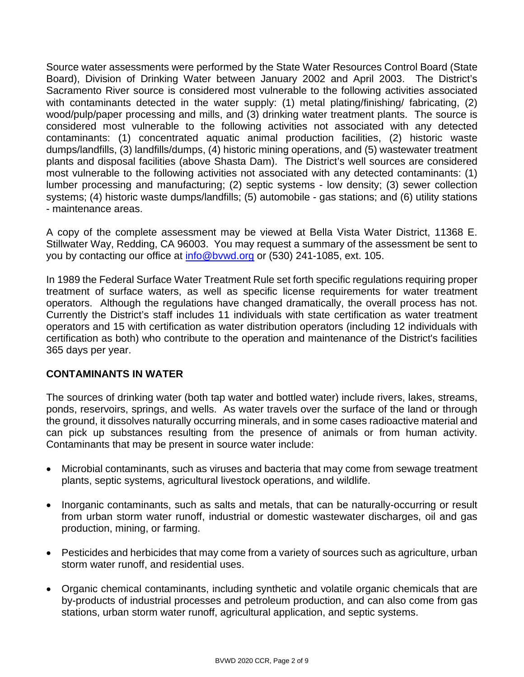Source water assessments were performed by the State Water Resources Control Board (State Board), Division of Drinking Water between January 2002 and April 2003. The District's Sacramento River source is considered most vulnerable to the following activities associated with contaminants detected in the water supply: (1) metal plating/finishing/ fabricating, (2) wood/pulp/paper processing and mills, and (3) drinking water treatment plants. The source is considered most vulnerable to the following activities not associated with any detected contaminants: (1) concentrated aquatic animal production facilities, (2) historic waste dumps/landfills, (3) landfills/dumps, (4) historic mining operations, and (5) wastewater treatment plants and disposal facilities (above Shasta Dam). The District's well sources are considered most vulnerable to the following activities not associated with any detected contaminants: (1) lumber processing and manufacturing; (2) septic systems - low density; (3) sewer collection systems; (4) historic waste dumps/landfills; (5) automobile - gas stations; and (6) utility stations - maintenance areas.

A copy of the complete assessment may be viewed at Bella Vista Water District, 11368 E. Stillwater Way, Redding, CA 96003. You may request a summary of the assessment be sent to you by contacting our office at [info@bvwd.org](mailto:info@bvwd.org) or (530) 241-1085, ext. 105.

In 1989 the Federal Surface Water Treatment Rule set forth specific regulations requiring proper treatment of surface waters, as well as specific license requirements for water treatment operators. Although the regulations have changed dramatically, the overall process has not. Currently the District's staff includes 11 individuals with state certification as water treatment operators and 15 with certification as water distribution operators (including 12 individuals with certification as both) who contribute to the operation and maintenance of the District's facilities 365 days per year.

#### **CONTAMINANTS IN WATER**

The sources of drinking water (both tap water and bottled water) include rivers, lakes, streams, ponds, reservoirs, springs, and wells. As water travels over the surface of the land or through the ground, it dissolves naturally occurring minerals, and in some cases radioactive material and can pick up substances resulting from the presence of animals or from human activity. Contaminants that may be present in source water include:

- Microbial contaminants, such as viruses and bacteria that may come from sewage treatment plants, septic systems, agricultural livestock operations, and wildlife.
- Inorganic contaminants, such as salts and metals, that can be naturally-occurring or result from urban storm water runoff, industrial or domestic wastewater discharges, oil and gas production, mining, or farming.
- Pesticides and herbicides that may come from a variety of sources such as agriculture, urban storm water runoff, and residential uses.
- Organic chemical contaminants, including synthetic and volatile organic chemicals that are by-products of industrial processes and petroleum production, and can also come from gas stations, urban storm water runoff, agricultural application, and septic systems.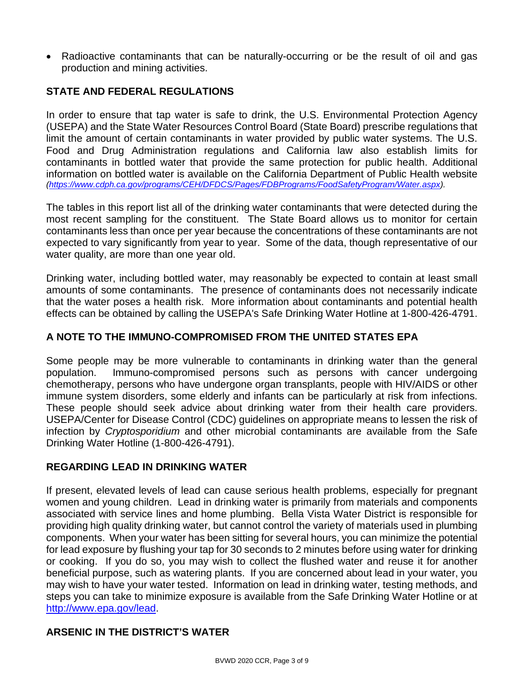• Radioactive contaminants that can be naturally-occurring or be the result of oil and gas production and mining activities.

### **STATE AND FEDERAL REGULATIONS**

In order to ensure that tap water is safe to drink, the U.S. Environmental Protection Agency (USEPA) and the State Water Resources Control Board (State Board) prescribe regulations that limit the amount of certain contaminants in water provided by public water systems. The U.S. Food and Drug Administration regulations and California law also establish limits for contaminants in bottled water that provide the same protection for public health. Additional information on bottled water is available on the California Department of Public Health website *[\(https://www.cdph.ca.gov/programs/CEH/DFDCS/Pages/FDBPrograms/FoodSafetyProgram/Water.aspx\)](https://www.cdph.ca.gov/programs/CEH/DFDCS/Pages/FDBPrograms/FoodSafetyProgram/Water.aspx).*

The tables in this report list all of the drinking water contaminants that were detected during the most recent sampling for the constituent. The State Board allows us to monitor for certain contaminants less than once per year because the concentrations of these contaminants are not expected to vary significantly from year to year. Some of the data, though representative of our water quality, are more than one year old.

Drinking water, including bottled water, may reasonably be expected to contain at least small amounts of some contaminants. The presence of contaminants does not necessarily indicate that the water poses a health risk. More information about contaminants and potential health effects can be obtained by calling the USEPA's Safe Drinking Water Hotline at 1-800-426-4791.

#### **A NOTE TO THE IMMUNO-COMPROMISED FROM THE UNITED STATES EPA**

Some people may be more vulnerable to contaminants in drinking water than the general population. Immuno-compromised persons such as persons with cancer undergoing chemotherapy, persons who have undergone organ transplants, people with HIV/AIDS or other immune system disorders, some elderly and infants can be particularly at risk from infections. These people should seek advice about drinking water from their health care providers. USEPA/Center for Disease Control (CDC) guidelines on appropriate means to lessen the risk of infection by *Cryptosporidium* and other microbial contaminants are available from the Safe Drinking Water Hotline (1-800-426-4791).

#### **REGARDING LEAD IN DRINKING WATER**

If present, elevated levels of lead can cause serious health problems, especially for pregnant women and young children. Lead in drinking water is primarily from materials and components associated with service lines and home plumbing. Bella Vista Water District is responsible for providing high quality drinking water, but cannot control the variety of materials used in plumbing components. When your water has been sitting for several hours, you can minimize the potential for lead exposure by flushing your tap for 30 seconds to 2 minutes before using water for drinking or cooking. If you do so, you may wish to collect the flushed water and reuse it for another beneficial purpose, such as watering plants. If you are concerned about lead in your water, you may wish to have your water tested. Information on lead in drinking water, testing methods, and steps you can take to minimize exposure is available from the Safe Drinking Water Hotline or at [http://www.epa.gov/lead.](http://www.epa.gov/lead)

### **ARSENIC IN THE DISTRICT'S WATER**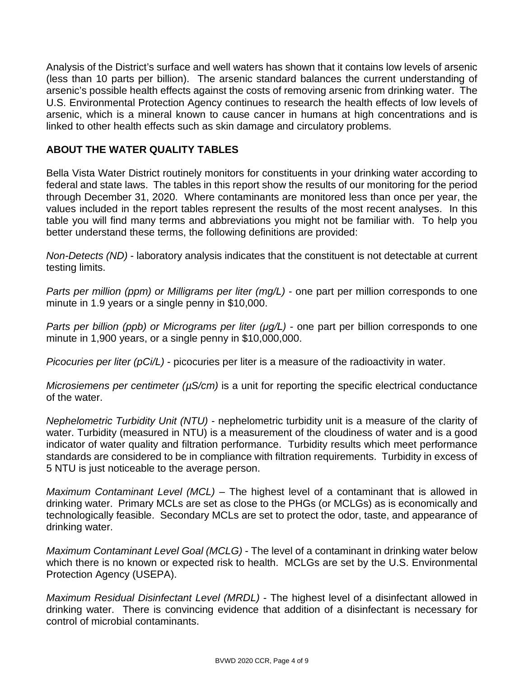Analysis of the District's surface and well waters has shown that it contains low levels of arsenic (less than 10 parts per billion). The arsenic standard balances the current understanding of arsenic's possible health effects against the costs of removing arsenic from drinking water. The U.S. Environmental Protection Agency continues to research the health effects of low levels of arsenic, which is a mineral known to cause cancer in humans at high concentrations and is linked to other health effects such as skin damage and circulatory problems.

### **ABOUT THE WATER QUALITY TABLES**

Bella Vista Water District routinely monitors for constituents in your drinking water according to federal and state laws. The tables in this report show the results of our monitoring for the period through December 31, 2020. Where contaminants are monitored less than once per year, the values included in the report tables represent the results of the most recent analyses. In this table you will find many terms and abbreviations you might not be familiar with. To help you better understand these terms, the following definitions are provided:

*Non-Detects (ND)* - laboratory analysis indicates that the constituent is not detectable at current testing limits.

*Parts per million (ppm) or Milligrams per liter (mg/L)* - one part per million corresponds to one minute in 1.9 years or a single penny in \$10,000.

*Parts per billion (ppb) or Micrograms per liter (μg/L)* - one part per billion corresponds to one minute in 1,900 years, or a single penny in \$10,000,000.

*Picocuries per liter (pCi/L)* - picocuries per liter is a measure of the radioactivity in water.

*Microsiemens per centimeter (* $\mu$ *S/cm)* is a unit for reporting the specific electrical conductance of the water.

*Nephelometric Turbidity Unit (NTU)* - nephelometric turbidity unit is a measure of the clarity of water. Turbidity (measured in NTU) is a measurement of the cloudiness of water and is a good indicator of water quality and filtration performance. Turbidity results which meet performance standards are considered to be in compliance with filtration requirements. Turbidity in excess of 5 NTU is just noticeable to the average person.

*Maximum Contaminant Level (MCL)* – The highest level of a contaminant that is allowed in drinking water. Primary MCLs are set as close to the PHGs (or MCLGs) as is economically and technologically feasible. Secondary MCLs are set to protect the odor, taste, and appearance of drinking water.

*Maximum Contaminant Level Goal (MCLG)* - The level of a contaminant in drinking water below which there is no known or expected risk to health. MCLGs are set by the U.S. Environmental Protection Agency (USEPA).

*Maximum Residual Disinfectant Level (MRDL)* - The highest level of a disinfectant allowed in drinking water. There is convincing evidence that addition of a disinfectant is necessary for control of microbial contaminants.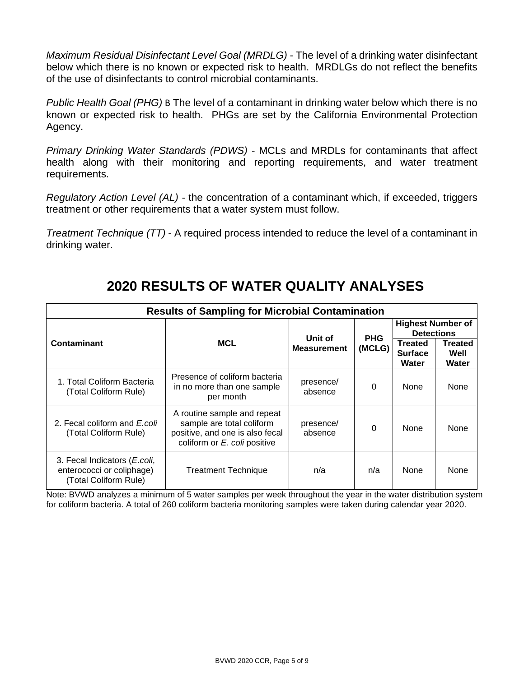*Maximum Residual Disinfectant Level Goal (MRDLG)* - The level of a drinking water disinfectant below which there is no known or expected risk to health. MRDLGs do not reflect the benefits of the use of disinfectants to control microbial contaminants.

*Public Health Goal (PHG)* B The level of a contaminant in drinking water below which there is no known or expected risk to health. PHGs are set by the California Environmental Protection Agency.

*Primary Drinking Water Standards (PDWS)* - MCLs and MRDLs for contaminants that affect health along with their monitoring and reporting requirements, and water treatment requirements.

*Regulatory Action Level (AL)* - the concentration of a contaminant which, if exceeded, triggers treatment or other requirements that a water system must follow.

*Treatment Technique (TT)* - A required process intended to reduce the level of a contaminant in drinking water.

| <b>Results of Sampling for Microbial Contamination</b>                             |                                                                                                                             |                               |                      |                                               |                          |  |  |
|------------------------------------------------------------------------------------|-----------------------------------------------------------------------------------------------------------------------------|-------------------------------|----------------------|-----------------------------------------------|--------------------------|--|--|
|                                                                                    |                                                                                                                             |                               |                      | <b>Highest Number of</b><br><b>Detections</b> |                          |  |  |
| Contaminant                                                                        | <b>MCL</b>                                                                                                                  | Unit of<br><b>Measurement</b> | <b>PHG</b><br>(MCLG) | <b>Treated</b><br><b>Surface</b><br>Water     | Treated<br>Well<br>Water |  |  |
| 1. Total Coliform Bacteria<br>(Total Coliform Rule)                                | Presence of coliform bacteria<br>in no more than one sample<br>per month                                                    | presence/<br>absence          | $\Omega$             | <b>None</b>                                   | None                     |  |  |
| 2. Fecal coliform and E.coli<br>(Total Coliform Rule)                              | A routine sample and repeat<br>sample are total coliform<br>positive, and one is also fecal<br>coliform or E. coli positive | presence/<br>absence          | $\Omega$             | <b>None</b>                                   | None                     |  |  |
| 3. Fecal Indicators (E.coli,<br>enterococci or coliphage)<br>(Total Coliform Rule) | <b>Treatment Technique</b>                                                                                                  | n/a                           | n/a                  | <b>None</b>                                   | None                     |  |  |

## **2020 RESULTS OF WATER QUALITY ANALYSES**

Note: BVWD analyzes a minimum of 5 water samples per week throughout the year in the water distribution system for coliform bacteria. A total of 260 coliform bacteria monitoring samples were taken during calendar year 2020.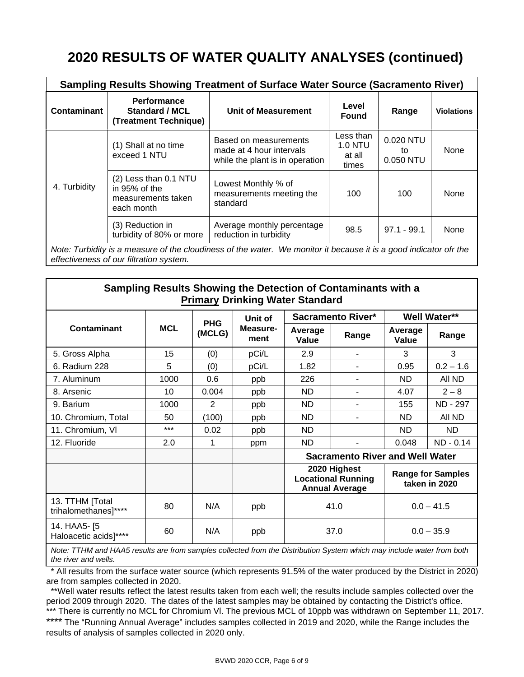# **2020 RESULTS OF WATER QUALITY ANALYSES (continued)**

|                                                                                                                                                              | <b>Sampling Results Showing Treatment of Surface Water Source (Sacramento River)</b> |                                                                                      |                                                |                              |                   |  |  |  |  |
|--------------------------------------------------------------------------------------------------------------------------------------------------------------|--------------------------------------------------------------------------------------|--------------------------------------------------------------------------------------|------------------------------------------------|------------------------------|-------------------|--|--|--|--|
| <b>Contaminant</b>                                                                                                                                           | <b>Performance</b><br><b>Standard / MCL</b><br>(Treatment Technique)                 | <b>Unit of Measurement</b>                                                           | Level<br><b>Found</b>                          | Range                        | <b>Violations</b> |  |  |  |  |
|                                                                                                                                                              | (1) Shall at no time<br>exceed 1 NTU                                                 | Based on measurements<br>made at 4 hour intervals<br>while the plant is in operation | Less than<br><b>1.0 NTU</b><br>at all<br>times | 0.020 NTU<br>to<br>0.050 NTU | None              |  |  |  |  |
| 4. Turbidity                                                                                                                                                 | (2) Less than 0.1 NTU<br>in 95% of the<br>measurements taken<br>each month           | Lowest Monthly % of<br>measurements meeting the<br>standard                          | 100                                            | 100                          | None              |  |  |  |  |
|                                                                                                                                                              | (3) Reduction in<br>turbidity of 80% or more                                         | Average monthly percentage<br>reduction in turbidity                                 | 98.5                                           | $97.1 - 99.1$                | None              |  |  |  |  |
| Note: Turbidity is a measure of the cloudiness of the water. We monitor it because it is a good indicator ofr the<br>effectiveness of our filtration system. |                                                                                      |                                                                                      |                                                |                              |                   |  |  |  |  |

**Sampling Results Showing the Detection of Contaminants with a Primary Drinking Water Standard**

|                                                                |       | <b>PHG</b>       | Unit of |                                                                                                                 | <b>Sacramento River*</b> | <b>Well Water**</b> |              |
|----------------------------------------------------------------|-------|------------------|---------|-----------------------------------------------------------------------------------------------------------------|--------------------------|---------------------|--------------|
| <b>Contaminant</b><br><b>MCL</b><br>Measure-<br>(MCLG)<br>ment |       | Average<br>Value | Range   | Average<br>Value                                                                                                | Range                    |                     |              |
| 5. Gross Alpha                                                 | 15    | (0)              | pCi/L   | 2.9                                                                                                             |                          | 3                   | 3            |
| 6. Radium 228                                                  | 5     | (0)              | pCi/L   | 1.82                                                                                                            |                          | 0.95                | $0.2 - 1.6$  |
| 7. Aluminum                                                    | 1000  | 0.6              | ppb     | 226                                                                                                             |                          | ND.                 | All ND       |
| 8. Arsenic                                                     | 10    | 0.004            | ppb     | ND.                                                                                                             |                          | 4.07                | $2 - 8$      |
| 9. Barium                                                      | 1000  | 2                | ppb     | ND                                                                                                              |                          | 155                 | ND - 297     |
| 10. Chromium, Total                                            | 50    | (100)            | ppb     | ND                                                                                                              | -                        | ND.                 | All ND       |
| 11. Chromium, VI                                               | $***$ | 0.02             | ppb     | <b>ND</b>                                                                                                       |                          | ND.                 | ND.          |
| 12. Fluoride                                                   | 2.0   | 1                | ppm     | ND                                                                                                              |                          | 0.048               | $ND - 0.14$  |
|                                                                |       |                  |         | <b>Sacramento River and Well Water</b>                                                                          |                          |                     |              |
|                                                                |       |                  |         | 2020 Highest<br><b>Range for Samples</b><br><b>Locational Running</b><br>taken in 2020<br><b>Annual Average</b> |                          |                     |              |
| 13. TTHM [Total<br>trihalomethanes]****                        | 80    | N/A              | ppb     | $0.0 - 41.5$<br>41.0                                                                                            |                          |                     |              |
| 14. HAA5- [5<br>Haloacetic acids]****                          | 60    | N/A              | ppb     | 37.0                                                                                                            |                          |                     | $0.0 - 35.9$ |
|                                                                |       |                  |         |                                                                                                                 |                          |                     |              |

*Note: TTHM and HAA5 results are from samples collected from the Distribution System which may include water from both the river and wells.*

 \* All results from the surface water source (which represents 91.5% of the water produced by the District in 2020) are from samples collected in 2020.

 \*\*Well water results reflect the latest results taken from each well; the results include samples collected over the period 2009 through 2020. The dates of the latest samples may be obtained by contacting the District's office. \*\*\* There is currently no MCL for Chromium VI. The previous MCL of 10ppb was withdrawn on September 11, 2017. \*\*\*\* The "Running Annual Average" includes samples collected in 2019 and 2020, while the Range includes the results of analysis of samples collected in 2020 only.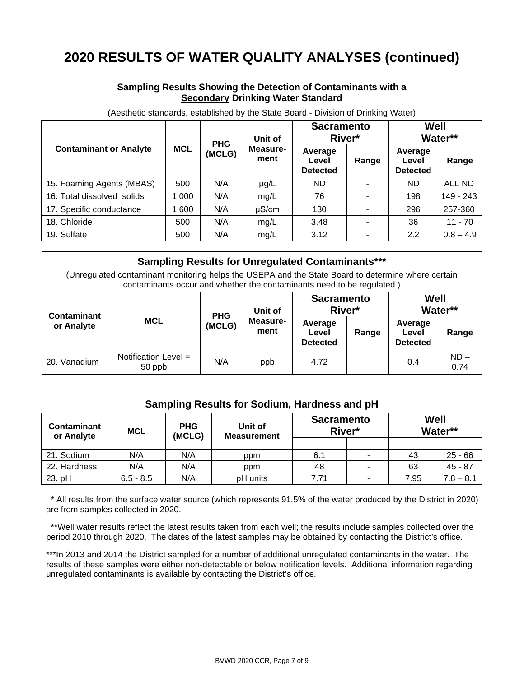# **2020 RESULTS OF WATER QUALITY ANALYSES (continued)**

| Sampling Results Showing the Detection of Contaminants with a<br><b>Secondary Drinking Water Standard</b> |                                                                                                                 |            |                  |                                     |       |                                     |             |  |
|-----------------------------------------------------------------------------------------------------------|-----------------------------------------------------------------------------------------------------------------|------------|------------------|-------------------------------------|-------|-------------------------------------|-------------|--|
|                                                                                                           | (Aesthetic standards, established by the State Board - Division of Drinking Water)<br>Well<br><b>Sacramento</b> |            |                  |                                     |       |                                     |             |  |
| <b>Contaminant or Analyte</b>                                                                             |                                                                                                                 | <b>PHG</b> | Unit of          | River*                              |       | Water**                             |             |  |
|                                                                                                           | <b>MCL</b>                                                                                                      | (MCLG)     | Measure-<br>ment | Average<br>Level<br><b>Detected</b> | Range | Average<br>Level<br><b>Detected</b> | Range       |  |
| 15. Foaming Agents (MBAS)                                                                                 | 500                                                                                                             | N/A        | $\mu$ g/L        | ND.                                 |       | ND.                                 | ALL ND      |  |
| 16. Total dissolved solids                                                                                | 1.000                                                                                                           | N/A        | mg/L             | 76                                  |       | 198                                 | 149 - 243   |  |
| 17. Specific conductance                                                                                  | 1,600                                                                                                           | N/A        | $\mu$ S/cm       | 130                                 |       | 296                                 | 257-360     |  |
| 18. Chloride                                                                                              | 500                                                                                                             | N/A        | mg/L             | 3.48                                |       | 36                                  | $11 - 70$   |  |
| 19. Sulfate                                                                                               | 500                                                                                                             | N/A        | mg/L             | 3.12                                |       | 2.2                                 | $0.8 - 4.9$ |  |

| <b>Sampling Results for Unregulated Contaminants***</b><br>(Unregulated contaminant monitoring helps the USEPA and the State Board to determine where certain<br>contaminants occur and whether the contaminants need to be regulated.) |                                |                                          |                                     |                             |                                     |                 |                |
|-----------------------------------------------------------------------------------------------------------------------------------------------------------------------------------------------------------------------------------------|--------------------------------|------------------------------------------|-------------------------------------|-----------------------------|-------------------------------------|-----------------|----------------|
|                                                                                                                                                                                                                                         |                                |                                          | Unit of                             | <b>Sacramento</b><br>River* |                                     | Well<br>Water** |                |
| Contaminant<br>or Analyte                                                                                                                                                                                                               | <b>MCL</b>                     | <b>PHG</b><br>Measure-<br>(MCLG)<br>ment | Average<br>Level<br><b>Detected</b> | Range                       | Average<br>Level<br><b>Detected</b> | Range           |                |
| 20. Vanadium                                                                                                                                                                                                                            | Notification Level =<br>50 ppb | N/A                                      | ppb                                 | 4.72                        |                                     | 0.4             | $ND -$<br>0.74 |

| Sampling Results for Sodium, Hardness and pH   |             |                      |                               |                             |                |                 |             |  |  |
|------------------------------------------------|-------------|----------------------|-------------------------------|-----------------------------|----------------|-----------------|-------------|--|--|
| <b>Contaminant</b><br><b>MCL</b><br>or Analyte |             | <b>PHG</b><br>(MCLG) | Unit of<br><b>Measurement</b> | <b>Sacramento</b><br>River* |                | Well<br>Water** |             |  |  |
|                                                |             |                      |                               |                             |                |                 |             |  |  |
| 21. Sodium                                     | N/A         | N/A                  | ppm                           | 6.1                         | ۰              | 43              | $25 - 66$   |  |  |
| 22. Hardness                                   | N/A         | N/A                  | ppm                           | 48                          | $\blacksquare$ | 63              | $45 - 87$   |  |  |
| 23. pH                                         | $6.5 - 8.5$ | N/A                  | pH units                      | 7.71                        | $\blacksquare$ | 7.95            | $7.8 - 8.1$ |  |  |

 \* All results from the surface water source (which represents 91.5% of the water produced by the District in 2020) are from samples collected in 2020.

 \*\*Well water results reflect the latest results taken from each well; the results include samples collected over the period 2010 through 2020. The dates of the latest samples may be obtained by contacting the District's office.

\*\*\*In 2013 and 2014 the District sampled for a number of additional unregulated contaminants in the water. The results of these samples were either non-detectable or below notification levels. Additional information regarding unregulated contaminants is available by contacting the District's office.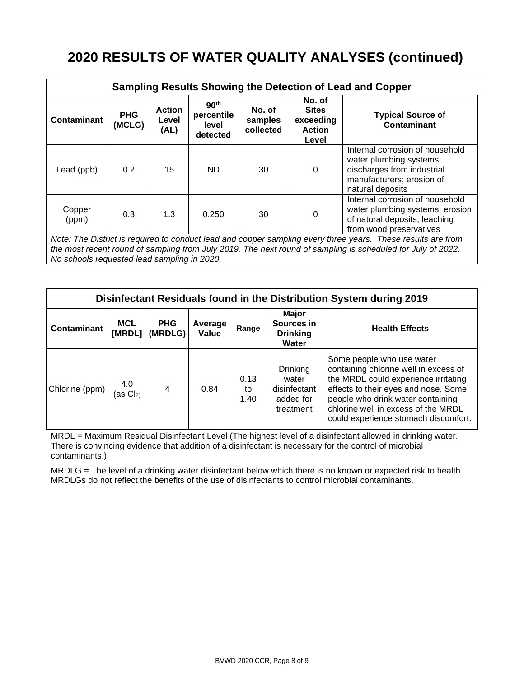# **2020 RESULTS OF WATER QUALITY ANALYSES (continued)**

| Sampling Results Showing the Detection of Lead and Copper                                                                                                                                                                   |                      |                                |                                                     |                                                                                                                                           |                                                               |                                                                                                                                           |  |  |
|-----------------------------------------------------------------------------------------------------------------------------------------------------------------------------------------------------------------------------|----------------------|--------------------------------|-----------------------------------------------------|-------------------------------------------------------------------------------------------------------------------------------------------|---------------------------------------------------------------|-------------------------------------------------------------------------------------------------------------------------------------------|--|--|
| <b>Contaminant</b>                                                                                                                                                                                                          | <b>PHG</b><br>(MCLG) | <b>Action</b><br>Level<br>(AL) | 90 <sup>th</sup><br>percentile<br>level<br>detected | No. of<br>samples<br>collected                                                                                                            | No. of<br><b>Sites</b><br>exceeding<br><b>Action</b><br>Level | <b>Typical Source of</b><br><b>Contaminant</b>                                                                                            |  |  |
| Lead (ppb)                                                                                                                                                                                                                  | 0.2                  | 15                             | ND.                                                 | 30                                                                                                                                        | $\mathbf{0}$                                                  | Internal corrosion of household<br>water plumbing systems;<br>discharges from industrial<br>manufacturers; erosion of<br>natural deposits |  |  |
| Copper<br>(ppm)                                                                                                                                                                                                             | 0.3                  | 1.3                            | 0.250                                               | Internal corrosion of household<br>water plumbing systems; erosion<br>0<br>30<br>of natural deposits; leaching<br>from wood preservatives |                                                               |                                                                                                                                           |  |  |
| Note: The District is required to conduct lead and copper sampling every three years. These results are from<br>the most recent round of sampling from July 2019. The next round of sampling is scheduled for July of 2022. |                      |                                |                                                     |                                                                                                                                           |                                                               |                                                                                                                                           |  |  |

*No schools requested lead sampling in 2020.*

| Disinfectant Residuals found in the Distribution System during 2019 |                      |                       |                  |                    |                                                             |                                                                                                                                                                                                                                                                        |  |  |
|---------------------------------------------------------------------|----------------------|-----------------------|------------------|--------------------|-------------------------------------------------------------|------------------------------------------------------------------------------------------------------------------------------------------------------------------------------------------------------------------------------------------------------------------------|--|--|
| <b>Contaminant</b>                                                  | <b>MCL</b><br>[MRDL] | <b>PHG</b><br>(MRDLG) | Average<br>Value | Range              | Major<br>Sources in<br><b>Drinking</b><br>Water             | <b>Health Effects</b>                                                                                                                                                                                                                                                  |  |  |
| Chlorine (ppm)                                                      | 4.0<br>$(as Cl2)$    | $\overline{4}$        | 0.84             | 0.13<br>to<br>1.40 | Drinking<br>water<br>disinfectant<br>added for<br>treatment | Some people who use water<br>containing chlorine well in excess of<br>the MRDL could experience irritating<br>effects to their eyes and nose. Some<br>people who drink water containing<br>chlorine well in excess of the MRDL<br>could experience stomach discomfort. |  |  |

MRDL = Maximum Residual Disinfectant Level (The highest level of a disinfectant allowed in drinking water. There is convincing evidence that addition of a disinfectant is necessary for the control of microbial contaminants.)

MRDLG = The level of a drinking water disinfectant below which there is no known or expected risk to health. MRDLGs do not reflect the benefits of the use of disinfectants to control microbial contaminants.